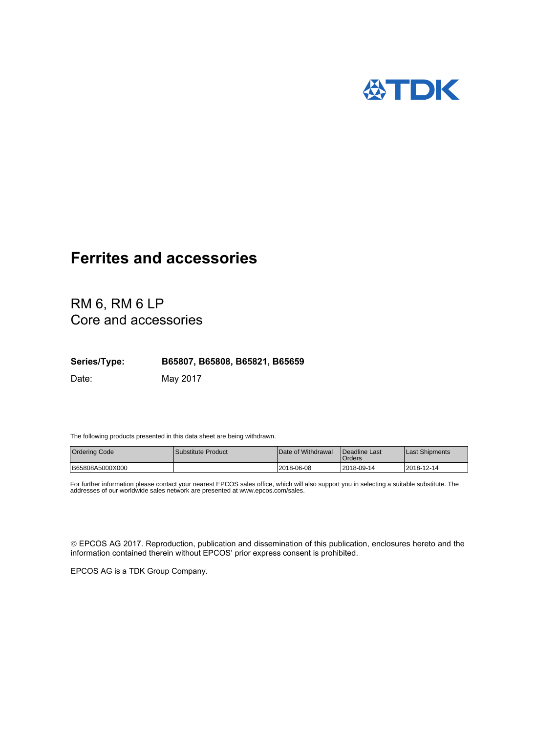

# RM 6, RM 6 LP Core and accessories

**Series/Type: B65807, B65808, B65821, B65659**

Date: May 2017

The following products presented in this data sheet are being withdrawn.

| <b>Ordering Code</b> | Substitute Product | Date of Withdrawal | <b>I</b> Deadline Last<br>Orders | Last Shipments |
|----------------------|--------------------|--------------------|----------------------------------|----------------|
| B65808A5000X000      |                    | 2018-06-08         | l 2018-09-14                     | 12018-12-14    |

For further information please contact your nearest EPCOS sales office, which will also support you in selecting a suitable substitute. The addresses of our worldwide sales network are presented at www.epcos.com/sales.

 EPCOS AG 2017. Reproduction, publication and dissemination of this publication, enclosures hereto and the information contained therein without EPCOS' prior express consent is prohibited.

EPCOS AG is a TDK Group Company.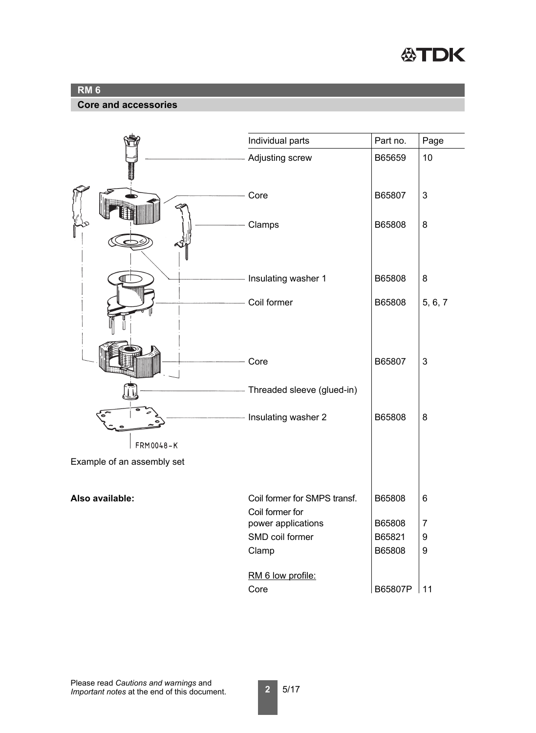

#### **Core and accessories**

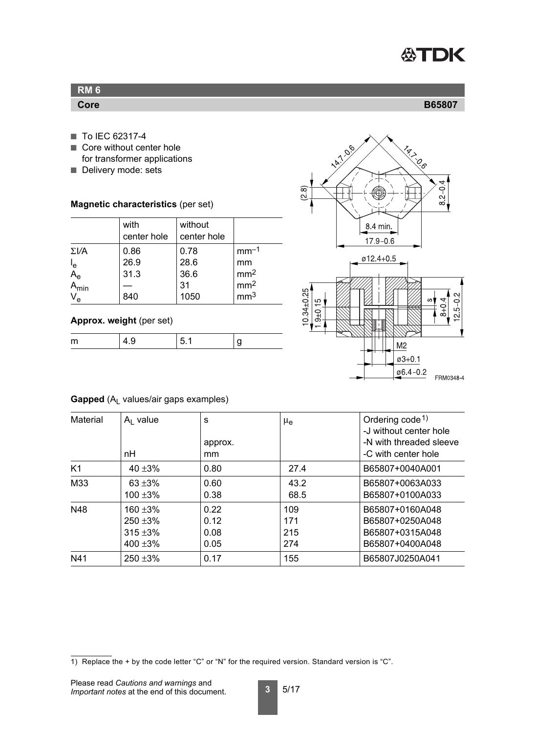

| RM <sub>6</sub> |        |
|-----------------|--------|
| Core            | B65807 |

- To IEC 62317-4
- Core without center hole for transformer applications
- Delivery mode: sets

**Magnetic characteristics** (per set)

|                                           | with<br>center hole | without<br>center hole |                 |
|-------------------------------------------|---------------------|------------------------|-----------------|
| $\Sigma V$ A                              | 0.86                | 0.78                   | $mm-1$          |
|                                           | 26.9                | 28.6                   | mm              |
| $I_e$<br>A <sub>e</sub><br>A <sub>m</sub> | 31.3                | 36.6                   | mm <sup>2</sup> |
| min                                       |                     | 31                     | mm <sup>2</sup> |
| V <sub>e</sub>                            | 840                 | 1050                   | mm <sup>3</sup> |

#### **Approx. weight** (per set)

| $\sim$ |  |
|--------|--|

<span id="page-2-0"></span>

#### **Gapped** (A<sub>L</sub> values/air gaps examples)

| <b>Material</b> | $A1$ value<br>nH                                    | S<br>approx.<br>mm           | $\mu_{\rm e}$            | Ordering $code1$<br>-J without center hole<br>-N with threaded sleeve<br>-C with center hole |
|-----------------|-----------------------------------------------------|------------------------------|--------------------------|----------------------------------------------------------------------------------------------|
| K1              | 40 $\pm 3\%$                                        | 0.80                         | 27.4                     | B65807+0040A001                                                                              |
| M33             | 63 $\pm 3\%$<br>$100 + 3%$                          | 0.60<br>0.38                 | 43.2<br>68.5             | B65807+0063A033<br>B65807+0100A033                                                           |
| N48             | $160 + 3%$<br>$250 + 3\%$<br>$315 + 3\%$<br>400 ±3% | 0.22<br>0.12<br>0.08<br>0.05 | 109<br>171<br>215<br>274 | B65807+0160A048<br>B65807+0250A048<br>B65807+0315A048<br>B65807+0400A048                     |
| N41             | $250 + 3\%$                                         | 0.17                         | 155                      | B65807J0250A041                                                                              |

<sup>1)</sup> Replace the + by the code letter "C" or "N" for the required version. Standard version is "C".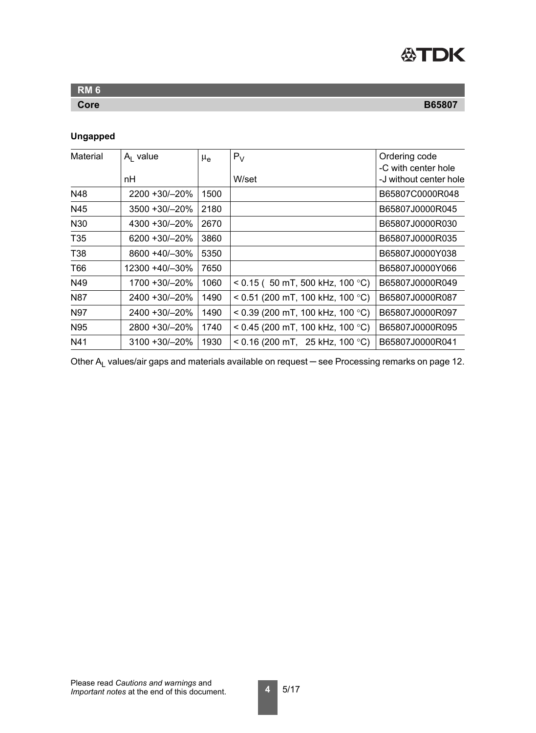

| <b>RM 6</b> |               |
|-------------|---------------|
| Core        | <b>B65807</b> |

# **Ungapped**

| <b>Material</b> | $Al$ value         | $\mu_{\rm e}$ | $P_V$                              | Ordering code                                 |
|-----------------|--------------------|---------------|------------------------------------|-----------------------------------------------|
|                 | nН                 |               | W/set                              | -C with center hole<br>-J without center hole |
| N48             | 2200 +30/-20%      | 1500          |                                    | B65807C0000R048                               |
| N45             | 3500 +30/-20%      | 2180          |                                    | B65807J0000R045                               |
| N30             | 4300 +30/-20%      | 2670          |                                    | B65807J0000R030                               |
| T <sub>35</sub> | 6200 +30/-20%      | 3860          |                                    | B65807J0000R035                               |
| <b>T38</b>      | 8600 +40/-30%      | 5350          |                                    | B65807J0000Y038                               |
| T66             | 12300 +40/-30%     | 7650          |                                    | B65807J0000Y066                               |
| N49             | 1700 +30/-20%      | 1060          | $<$ 0.15 ( 50 mT, 500 kHz, 100 °C) | B65807J0000R049                               |
| <b>N87</b>      | 2400 +30/-20%      | 1490          | < 0.51 (200 mT, 100 kHz, 100 °C)   | B65807J0000R087                               |
| <b>N97</b>      | 2400 +30/-20%      | 1490          | < 0.39 (200 mT, 100 kHz, 100 °C)   | B65807J0000R097                               |
| <b>N95</b>      | 2800 +30/-20%      | 1740          | $<$ 0.45 (200 mT, 100 kHz, 100 °C) | B65807J0000R095                               |
| N41             | $3100 + 30/ - 20%$ | 1930          | $<$ 0.16 (200 mT, 25 kHz, 100 °C)  | B65807J0000R041                               |

Other A<sub>L</sub> values/air gaps and materials available on request — see [Processing remarks on page 12](#page-11-0).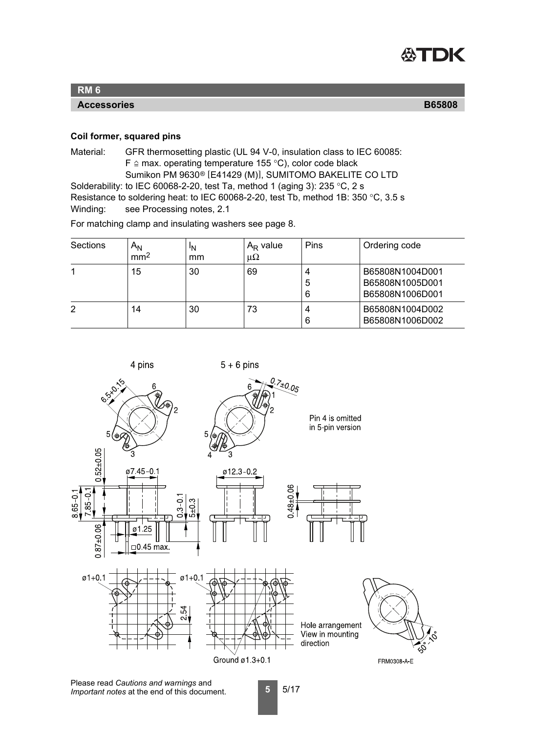

**Accessories B65808**

#### <span id="page-4-0"></span>**Coil former, squared pins**

Material: GFR thermosetting plastic (UL 94 V-0, insulation class to IEC 60085: F  $\triangle$  max. operating temperature 155 °C), color code black Sumikon PM 9630® [E41429 (M)], SUMITOMO BAKELITE CO LTD Solderability: to IEC 60068-2-20, test Ta, method 1 (aging 3): 235 °C, 2 s Resistance to soldering heat: to IEC 60068-2-20, test Tb, method 1B: 350 °C, 3.5 s Winding: see Processing notes, 2.1

For matching clamp and insulating washers [see page 8.](#page-7-1)

| Sections | A <sub>N</sub><br>mm <sup>2</sup> | ١N<br>mm | $A_R$ value<br>$\mu\Omega$ | Pins        | Ordering code                                         |
|----------|-----------------------------------|----------|----------------------------|-------------|-------------------------------------------------------|
|          | 15                                | 30       | 69                         | 4<br>5<br>6 | B65808N1004D001<br>B65808N1005D001<br>B65808N1006D001 |
| 2        | 14                                | 30       | 73                         | 4<br>6      | B65808N1004D002<br>B65808N1006D002                    |

4 pins

 $5 + 6$  pins

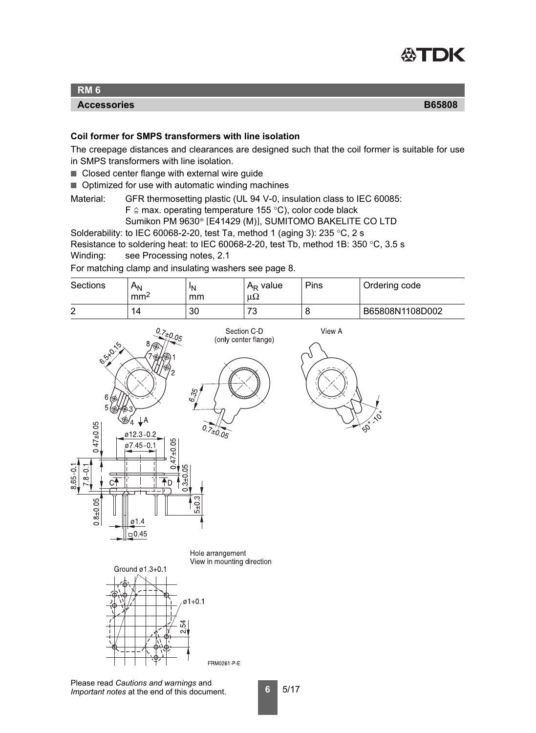<span id="page-5-1"></span>

#### **Accessories B65808**

#### <span id="page-5-0"></span>**Coil former for SMPS transformers with line isolation**

The creepage distances and clearances are designed such that the coil former is suitable for use in SMPS transformers with line isolation.

- Closed center flange with external wire guide
- Optimized for use with automatic winding machines

Material: GFR thermosetting plastic (UL 94 V-0, insulation class to IEC 60085: F  $\triangle$  max. operating temperature 155 °C), color code black

Sumikon PM 9630® [E41429 (M)], SUMITOMO BAKELITE CO LTD

Solderability: to IEC 60068-2-20, test Ta, method 1 (aging 3): 235  $\degree$ C, 2 s

Resistance to soldering heat: to IEC 60068-2-20, test Tb, method 1B: 350 °C, 3.5 s Winding: see Processing notes, 2.1

For matching clamp and insulating washers [see page 8.](#page-7-1)





Please read *Cautions and warnings* and *Important notes* at the end of this document.

**6** 5/17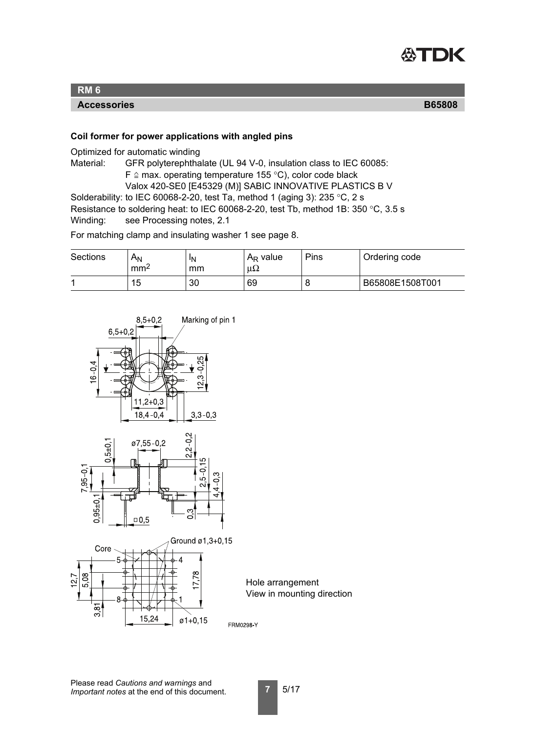<span id="page-6-0"></span>

#### **Accessories B65808**

#### **Coil former for power applications with angled pins**

Optimized for automatic winding

Material: GFR polyterephthalate (UL 94 V-0, insulation class to IEC 60085:  $F \triangleq$  max. operating temperature 155 °C), color code black Valox 420-SE0 [E45329 (M)] SABIC INNOVATIVE PLASTICS B V Solderability: to IEC 60068-2-20, test Ta, method 1 (aging 3): 235 °C, 2 s Resistance to soldering heat: to IEC 60068-2-20, test Tb, method 1B: 350 °C, 3.5 s

Winding: see Processing notes, 2.1

For matching clamp and insulating washer 1 [see page 8.](#page-7-2)

| <b>Sections</b> | $A_N$<br>mm <sup>2</sup> | <sup>I</sup> N<br>mm | $A_R$ value<br>$\mu\Omega$ | Pins | Ordering code   |
|-----------------|--------------------------|----------------------|----------------------------|------|-----------------|
|                 | 15                       | 30                   | 69                         | ◡    | B65808E1508T001 |

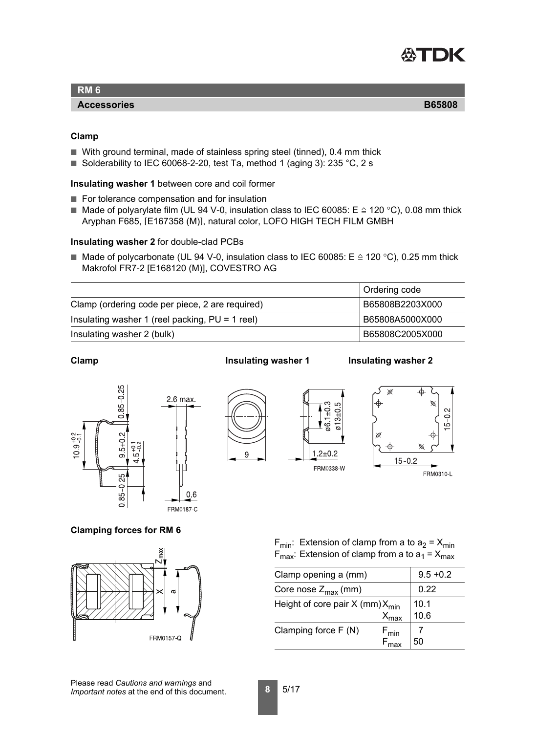<span id="page-7-0"></span>

#### **Accessories B65808**

#### <span id="page-7-1"></span>**Clamp**

- With ground terminal, made of stainless spring steel (tinned), 0.4 mm thick
- Solderability to IEC 60068-2-20, test Ta, method 1 (aging 3): 235 °C, 2 s

#### <span id="page-7-2"></span>**Insulating washer 1** between core and coil former

- For tolerance compensation and for insulation
- Made of polyarylate film (UL 94 V-0, insulation class to IEC 60085: E  $\triangleq$  120 °C), 0.08 mm thick Aryphan F685, [E167358 (M)], natural color, LOFO HIGH TECH FILM GMBH

#### **Insulating washer 2** for double-clad PCBs

■ Made of polycarbonate (UL 94 V-0, insulation class to IEC 60085: E  $\cong$  120 °C), 0.25 mm thick Makrofol FR7-2 [E168120 (M)], COVESTRO AG

|                                                   | Ordering code   |
|---------------------------------------------------|-----------------|
| Clamp (ordering code per piece, 2 are required)   | B65808B2203X000 |
| Insulating washer 1 (reel packing, $PU = 1$ reel) | B65808A5000X000 |
| Insulating washer 2 (bulk)                        | B65808C2005X000 |





 $0.6$ 

#### **Clamp Insulating washer 1** Insulating washer 2



#### **Clamping forces for RM 6**



 $F_{min}$ : Extension of clamp from a to  $a_2 = X_{min}$  $F_{\text{max}}$ : Extension of clamp from a to  $a_1 = X_{\text{max}}$ 

| Clamp opening a (mm)                          | $9.5 + 0.2$                                                  |    |
|-----------------------------------------------|--------------------------------------------------------------|----|
| Core nose $Z_{\text{max}}$ (mm)               | 0.22                                                         |    |
| Height of core pair $X$ (mm) $X_{\text{min}}$ | 10.1<br>10.6                                                 |    |
| Clamping force $F(N)$                         | $\mathsf{X}_{\mathsf{max}}$<br>$F_{min}$<br>$F_{\text{max}}$ | 50 |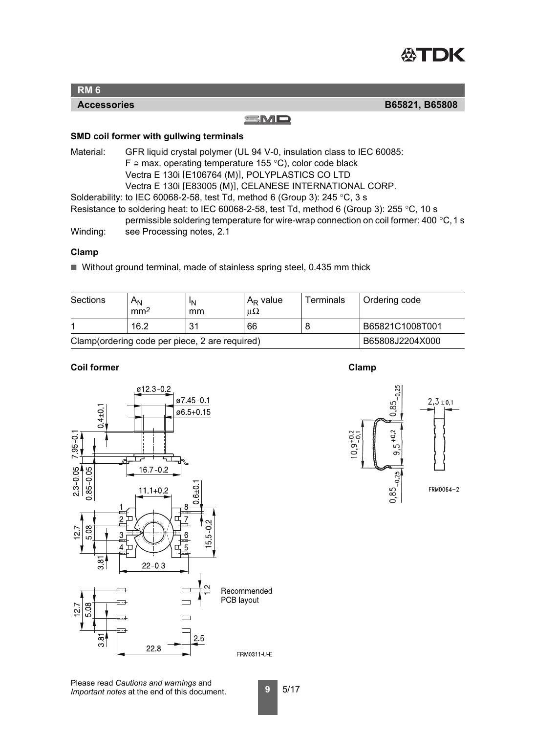<span id="page-8-0"></span>

#### SMD

#### **SMD coil former with gullwing terminals**

Material: GFR liquid crystal polymer (UL 94 V-0, insulation class to IEC 60085: F  $\triangle$  max. operating temperature 155 °C), color code black Vectra E 130i [E106764 (M)], POLYPLASTICS CO LTD Vectra E 130i [E83005 (M)], CELANESE INTERNATIONAL CORP.

Solderability: to IEC 60068-2-58, test Td, method 6 (Group 3): 245 °C, 3 s

Resistance to soldering heat: to IEC 60068-2-58, test Td, method 6 (Group 3): 255 °C, 10 s

permissible soldering temperature for wire-wrap connection on coil former: 400 °C,1 s

Winding: see Processing notes, 2.1

#### **Clamp**

■ Without ground terminal, made of stainless spring steel, 0.435 mm thick

| Sections                                       | Α <sub>Ν</sub><br>mm <sup>2</sup> | ΙN<br>mm | $A_R$ value<br>μ $Ω$ | <b>Terminals</b> | Ordering code   |
|------------------------------------------------|-----------------------------------|----------|----------------------|------------------|-----------------|
|                                                | 16.2                              | 31       | 66                   |                  | B65821C1008T001 |
| Clamp(ordering code per piece, 2 are required) | B65808J2204X000                   |          |                      |                  |                 |

#### **Coil former** Clamp





Please read *Cautions and warnings* and *Important notes* at the end of this document.

**Accessories B65821, B65808**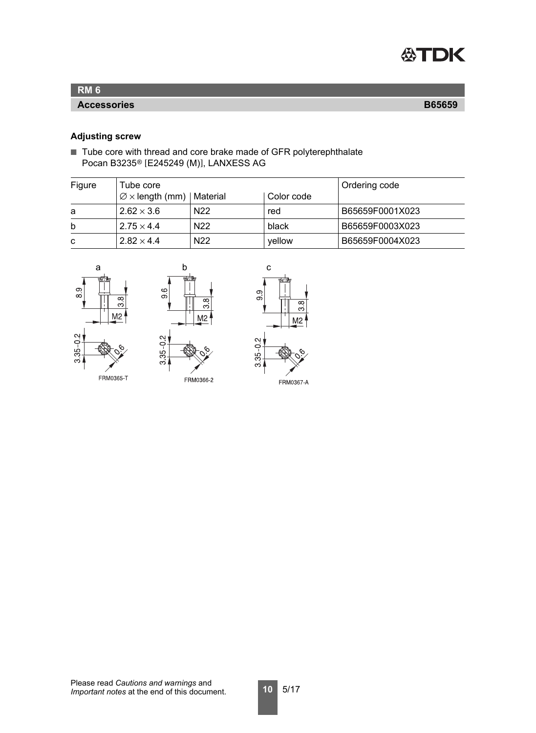

#### **Accessories B65659**

## <span id="page-9-0"></span>**Adjusting screw**

■ Tube core with thread and core brake made of GFR polyterephthalate Pocan B3235® [E245249 (M)], LANXESS AG

| Figure | Tube core                                   |                 | <b>Ordering code</b> |                 |
|--------|---------------------------------------------|-----------------|----------------------|-----------------|
|        | $\varnothing \times$ length (mm)   Material |                 | Color code           |                 |
| a      | $2.62 \times 3.6$                           | N <sub>22</sub> | red                  | B65659F0001X023 |
| b      | $2.75 \times 4.4$                           | N <sub>22</sub> | black                | B65659F0003X023 |
| C      | $2.82 \times 4.4$                           | N <sub>22</sub> | vellow               | B65659F0004X023 |





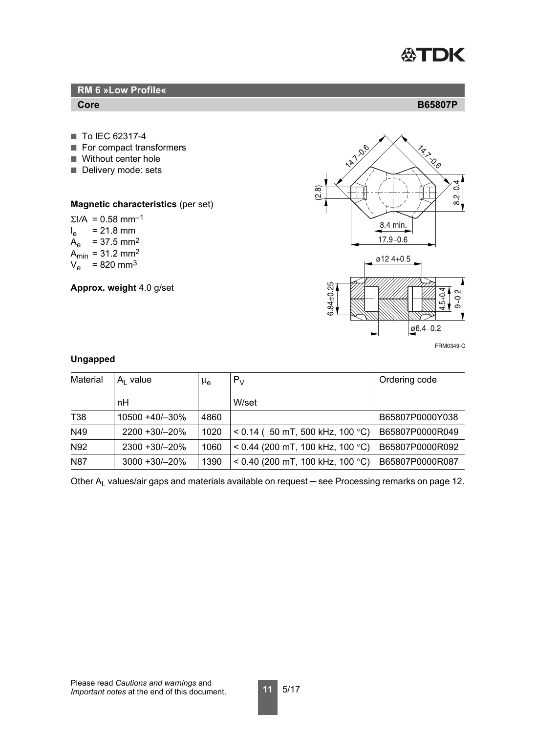

# **RM 6 »Low Profile«Core B65807P** ■ To IEC 62317-4 ■ For compact transformers ■ Without center hole ■ Delivery mode: sets ∞<br>∩ **Magnetic characteristics** (per set)

 $\Sigma$ *VA* = 0.58 mm<sup>-1</sup>  $I_{\rm e}$  $= 21.8$  mm  $A_e$  = 37.5 mm<sup>2</sup>  $A_{min} = 31.2$  mm<sup>2</sup>  $V_e$  = 820 mm<sup>3</sup>

**Approx. weight** 4.0 g/set

<span id="page-10-0"></span>

#### **Ungapped**

| Material   | $A1$ value         | μ <sub>e</sub> | $P_V$                              | Ordering code   |
|------------|--------------------|----------------|------------------------------------|-----------------|
|            | nН                 |                | W/set                              |                 |
| <b>T38</b> | 10500 +40/-30%     | 4860           |                                    | B65807P0000Y038 |
| N49        | 2200 +30/-20%      | 1020           | $<$ 0.14 ( 50 mT, 500 kHz, 100 °C) | B65807P0000R049 |
| N92        | 2300 +30/-20%      | 1060           | $<$ 0.44 (200 mT, 100 kHz, 100 °C) | B65807P0000R092 |
| <b>N87</b> | $3000 + 30 / -20%$ | 1390           | < 0.40 (200 mT, 100 kHz, 100 °C)   | B65807P0000R087 |

Other A<sub>L</sub> values/air gaps and materials available on request — see [Processing remarks on page 12](#page-11-0).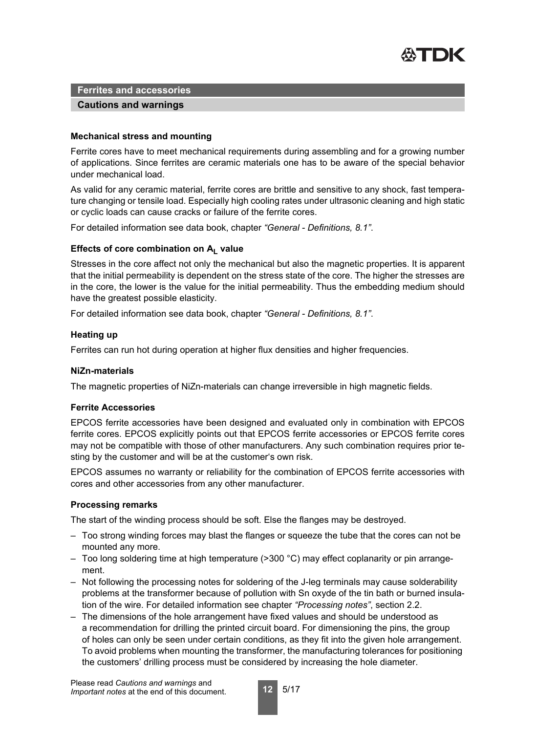

#### **Cautions and warnings**

#### **Mechanical stress and mounting**

Ferrite cores have to meet mechanical requirements during assembling and for a growing number of applications. Since ferrites are ceramic materials one has to be aware of the special behavior under mechanical load.

As valid for any ceramic material, ferrite cores are brittle and sensitive to any shock, fast temperature changing or tensile load. Especially high cooling rates under ultrasonic cleaning and high static or cyclic loads can cause cracks or failure of the ferrite cores.

For detailed information see data book, chapter *"General - Definitions, 8.1"*.

#### Effects of core combination on A<sub>L</sub> value

Stresses in the core affect not only the mechanical but also the magnetic properties. It is apparent that the initial permeability is dependent on the stress state of the core. The higher the stresses are in the core, the lower is the value for the initial permeability. Thus the embedding medium should have the greatest possible elasticity.

For detailed information see data book, chapter *"General - Definitions, 8.1"*.

#### **Heating up**

Ferrites can run hot during operation at higher flux densities and higher frequencies.

#### **NiZn-materials**

The magnetic properties of NiZn-materials can change irreversible in high magnetic fields.

#### **Ferrite Accessories**

EPCOS ferrite accessories have been designed and evaluated only in combination with EPCOS ferrite cores. EPCOS explicitly points out that EPCOS ferrite accessories or EPCOS ferrite cores may not be compatible with those of other manufacturers. Any such combination requires prior testing by the customer and will be at the customer's own risk.

EPCOS assumes no warranty or reliability for the combination of EPCOS ferrite accessories with cores and other accessories from any other manufacturer.

#### <span id="page-11-0"></span>**Processing remarks**

The start of the winding process should be soft. Else the flanges may be destroyed.

- Too strong winding forces may blast the flanges or squeeze the tube that the cores can not be mounted any more.
- Too long soldering time at high temperature (>300 °C) may effect coplanarity or pin arrangement.
- Not following the processing notes for soldering of the J-leg terminals may cause solderability problems at the transformer because of pollution with Sn oxyde of the tin bath or burned insulation of the wire. For detailed information see chapter *"Processing notes"*, section 2.2.
- The dimensions of the hole arrangement have fixed values and should be understood as a recommendation for drilling the printed circuit board. For dimensioning the pins, the group of holes can only be seen under certain conditions, as they fit into the given hole arrangement. To avoid problems when mounting the transformer, the manufacturing tolerances for positioning the customers' drilling process must be considered by increasing the hole diameter.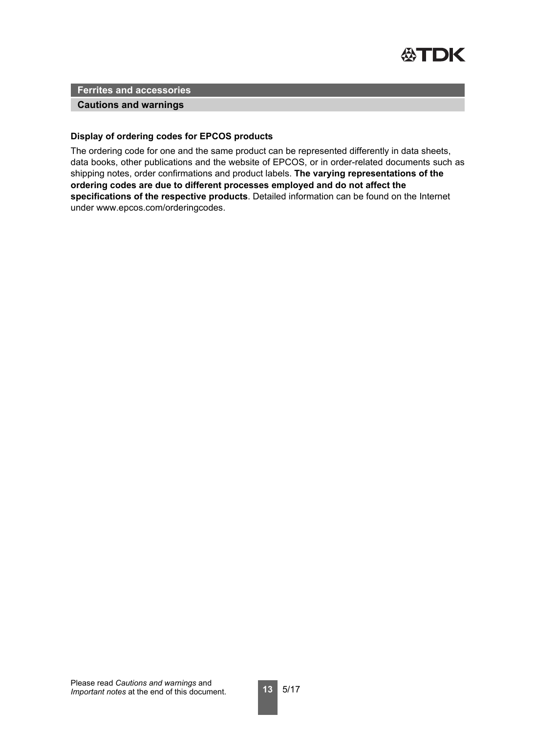

#### **Cautions and warnings**

#### **Display of ordering codes for EPCOS products**

The ordering code for one and the same product can be represented differently in data sheets, data books, other publications and the website of EPCOS, or in order-related documents such as shipping notes, order confirmations and product labels. **The varying representations of the ordering codes are due to different processes employed and do not affect the specifications of the respective products**. Detailed information can be found on the Internet under www.epcos.com/orderingcodes.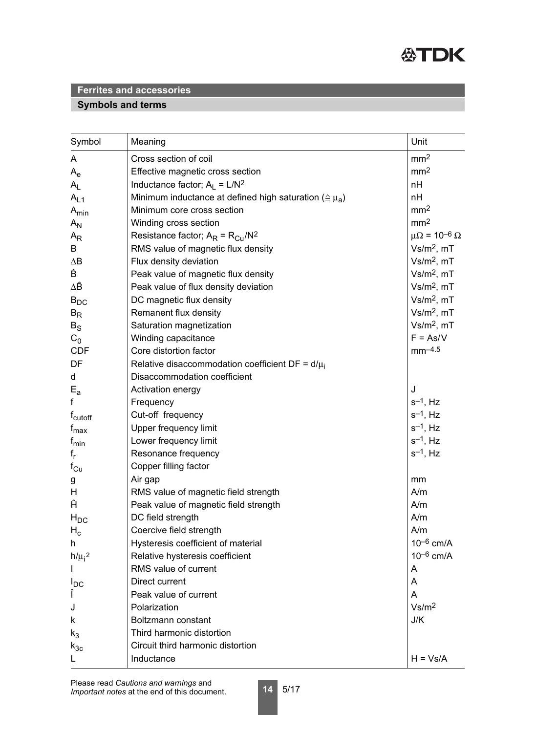

# **Symbols and terms**

| Symbol                    | Meaning                                                           | Unit                                    |
|---------------------------|-------------------------------------------------------------------|-----------------------------------------|
| A                         | Cross section of coil                                             | mm <sup>2</sup>                         |
| $\mathsf{A}_{\mathsf{e}}$ | Effective magnetic cross section                                  | mm <sup>2</sup>                         |
| $A_L$                     | Inductance factor; $A_L = L/N^2$                                  | nH                                      |
| $A_{L1}$                  | Minimum inductance at defined high saturation ( $\approx \mu_a$ ) | nH                                      |
| $A_{min}$                 | Minimum core cross section                                        | mm <sup>2</sup>                         |
| $A_{N}$                   | Winding cross section                                             | mm <sup>2</sup>                         |
| $A_{R}$                   | Resistance factor; $A_R = R_{Cu}/N^2$                             | $\mu\Omega$ = 10 <sup>-6</sup> $\Omega$ |
| B                         | RMS value of magnetic flux density                                | $Vs/m2$ , mT                            |
| $\Delta B$                | Flux density deviation                                            | $Vs/m2$ , mT                            |
| Ê                         | Peak value of magnetic flux density                               | $Vs/m2$ , mT                            |
| ΔÊ                        | Peak value of flux density deviation                              | $Vs/m2$ , mT                            |
| $B_{DC}$                  | DC magnetic flux density                                          | $Vs/m2$ , mT                            |
| $B_R$                     | Remanent flux density                                             | $Vs/m2$ , mT                            |
| $B_{\rm S}$               | Saturation magnetization                                          | $Vs/m2$ , mT                            |
| $C_0$                     | Winding capacitance                                               | $F = As/V$                              |
| <b>CDF</b>                | Core distortion factor                                            | $mm-4.5$                                |
| DF                        | Relative disaccommodation coefficient DF = $d/\mu_i$              |                                         |
| d                         | Disaccommodation coefficient                                      |                                         |
| $E_{a}$                   | Activation energy                                                 | J                                       |
| f                         | Frequency                                                         | $s^{-1}$ , Hz                           |
| f <sub>cutoff</sub>       | Cut-off frequency                                                 | $s^{-1}$ , Hz                           |
| $f_{\text{max}}$          | <b>Upper frequency limit</b>                                      | $s^{-1}$ , Hz                           |
| $f_{min}$                 | Lower frequency limit                                             | $s^{-1}$ , Hz                           |
| $f_r$                     | Resonance frequency                                               | $s^{-1}$ , Hz                           |
| $f_{Cu}$                  | Copper filling factor                                             |                                         |
| g                         | Air gap                                                           | mm                                      |
| H                         | RMS value of magnetic field strength                              | A/m                                     |
| Ĥ                         | Peak value of magnetic field strength                             | A/m                                     |
| $H_{DC}$                  | DC field strength                                                 | A/m                                     |
| $H_c$                     | Coercive field strength                                           | A/m                                     |
| h.                        | Hysteresis coefficient of material                                | $10^{-6}$ cm/A                          |
| $h/\mu_i^2$               | Relative hysteresis coefficient                                   | $10^{-6}$ cm/A                          |
|                           | RMS value of current                                              | A                                       |
| $I_{DC}$                  | Direct current                                                    | A                                       |
| Î                         | Peak value of current                                             | A                                       |
| J                         | Polarization                                                      | Vs/m <sup>2</sup>                       |
| k                         | Boltzmann constant                                                | J/K                                     |
| $k_3$                     | Third harmonic distortion                                         |                                         |
| $k_{3c}$                  | Circuit third harmonic distortion                                 |                                         |
|                           | Inductance                                                        | $H = Vs/A$                              |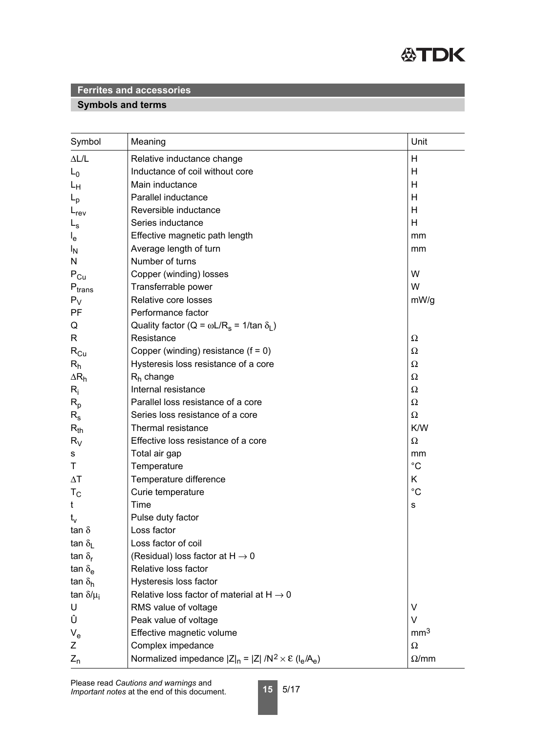

# **Symbols and terms**

| Symbol                        | Meaning                                                                 | Unit            |
|-------------------------------|-------------------------------------------------------------------------|-----------------|
| $\Delta L/L$                  | Relative inductance change                                              | Н               |
| $L_0$                         | Inductance of coil without core                                         | Н               |
| Lн                            | Main inductance                                                         | H               |
| $L_{\rm p}$                   | Parallel inductance                                                     | Н               |
| $L_{rev}$                     | Reversible inductance                                                   | Н               |
| $L_{\rm s}$                   | Series inductance                                                       | H               |
| $I_{e}$                       | Effective magnetic path length                                          | mm              |
| <sup>I</sup> N                | Average length of turn                                                  | mm              |
| N                             | Number of turns                                                         |                 |
| $P_{Cu}$                      | Copper (winding) losses                                                 | W               |
| $\mathsf{P}_{\mathsf{trans}}$ | Transferrable power                                                     | W               |
| $P_V$                         | Relative core losses                                                    | mW/g            |
| PF                            | Performance factor                                                      |                 |
| Q                             | Quality factor (Q = $\omega L/R_s$ = 1/tan $\delta_l$ )                 |                 |
| R                             | Resistance                                                              | Ω               |
| $R_{Cu}$                      | Copper (winding) resistance $(f = 0)$                                   | Ω               |
| $R_h$                         | Hysteresis loss resistance of a core                                    | Ω               |
| $\Delta R_h$                  | $R_h$ change                                                            | Ω               |
| $R_i$                         | Internal resistance                                                     | Ω               |
| $R_{p}$                       | Parallel loss resistance of a core                                      | Ω               |
| $R_{\rm s}$                   | Series loss resistance of a core                                        | $\Omega$        |
| $R_{th}$                      | Thermal resistance                                                      | K/W             |
| $R_V$                         | Effective loss resistance of a core                                     | Ω               |
| s                             | Total air gap                                                           | mm              |
| Τ                             | Temperature                                                             | $^{\circ}C$     |
| $\Delta T$                    | Temperature difference                                                  | K               |
| $T_{\rm C}$                   | Curie temperature                                                       | $^{\circ}C$     |
| t                             | Time                                                                    | s               |
| $t_v$                         | Pulse duty factor                                                       |                 |
| tan $\delta$                  | Loss factor                                                             |                 |
| tan $\delta_{\rm L}$          | Loss factor of coil                                                     |                 |
| tan $\delta_{\rm r}$          | (Residual) loss factor at $H \rightarrow 0$                             |                 |
| tan $\delta_{\mathsf{e}}$     | Relative loss factor                                                    |                 |
| tan $\delta_{h}$              | Hysteresis loss factor                                                  |                 |
| tan $\delta/\mu_i$            | Relative loss factor of material at $H \rightarrow 0$                   |                 |
| U                             | RMS value of voltage                                                    | V               |
| Û                             | Peak value of voltage                                                   | $\vee$          |
| $V_{e}$                       | Effective magnetic volume                                               | mm <sup>3</sup> |
| Ζ                             | Complex impedance                                                       | $\Omega$        |
| $Z_{n}$                       | Normalized impedance $ Z _n =  Z  / N^2 \times \mathcal{E} (I_e / A_e)$ | $\Omega$ /mm    |

**15** 5/17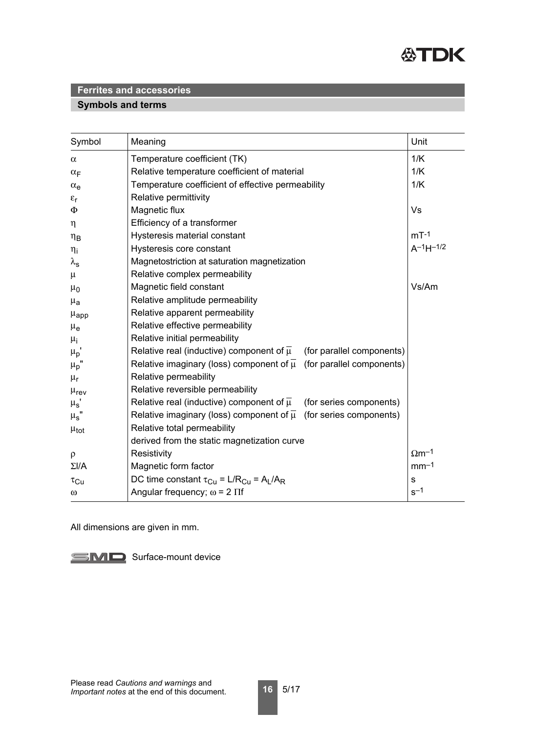

## **Symbols and terms**

| Symbol                 | Meaning                                                                              | Unit                     |
|------------------------|--------------------------------------------------------------------------------------|--------------------------|
| $\alpha$               | Temperature coefficient (TK)                                                         | 1/K                      |
| $\alpha_F$             | Relative temperature coefficient of material                                         | 1/K                      |
| $\alpha_e$             | Temperature coefficient of effective permeability                                    | 1/K                      |
| $\varepsilon_{r}$      | Relative permittivity                                                                |                          |
| $\Phi$                 | Magnetic flux                                                                        | <b>Vs</b>                |
| $\eta$                 | Efficiency of a transformer                                                          |                          |
| $\eta_B$               | Hysteresis material constant                                                         | $mT-1$                   |
| $\eta_i$               | Hysteresis core constant                                                             | $A^{-1}H^{-1/2}$         |
| $\lambda_{\mathsf{s}}$ | Magnetostriction at saturation magnetization                                         |                          |
| $\mu$                  | Relative complex permeability                                                        |                          |
| $\mu_0$                | Magnetic field constant                                                              | Vs/Am                    |
| $\mu_{\mathbf{a}}$     | Relative amplitude permeability                                                      |                          |
| $\mu_{\text{app}}$     | Relative apparent permeability                                                       |                          |
| $\mu_{e}$              | Relative effective permeability                                                      |                          |
| $\mu_{i}$              | Relative initial permeability                                                        |                          |
| $\mu_p$ '              | Relative real (inductive) component of $\overline{\mu}$<br>(for parallel components) |                          |
| $\mu_p$ '              | Relative imaginary (loss) component of $\overline{\mu}$ (for parallel components)    |                          |
| $\mu_r$                | Relative permeability                                                                |                          |
| $\mu_{\text{rev}}$     | Relative reversible permeability                                                     |                          |
| $\mu_{\rm s}$          | Relative real (inductive) component of $\overline{\mu}$<br>(for series components)   |                          |
| $\mu_s$ "              | Relative imaginary (loss) component of $\overline{\mu}$ (for series components)      |                          |
| $\mu_{\text{tot}}$     | Relative total permeability                                                          |                          |
|                        | derived from the static magnetization curve                                          |                          |
| $\rho$                 | Resistivity                                                                          | $\Omega$ m <sup>-1</sup> |
| $\Sigma I/A$           | Magnetic form factor                                                                 | $mm-1$                   |
| $\tau_{\rm Cu}$        | DC time constant $\tau_{Cu} = L/R_{Cu} = A_L/A_R$                                    | $\mathbf S$              |
| $\omega$               | Angular frequency; $\omega$ = 2 $\Pi$ f                                              | $s^{-1}$                 |

All dimensions are given in mm.

SMD Surface-mount device